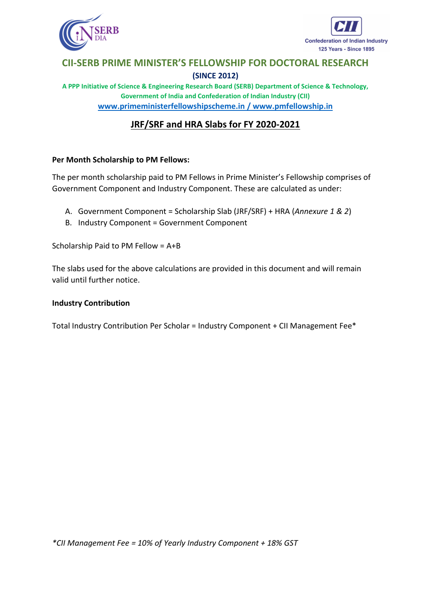



**A PPP Initiative of Science & Engineering Research Board (SERB) Department of Science & Technology, Government of India and Confederation of Indian Industry (CII) [www.primeministerfellowshipscheme.in](http://www.primeministerfellowshipscheme.in/) / [www.pmfellowship.in](http://www.pmfellowship.in/)**

# **JRF/SRF and HRA Slabs for FY 2020-2021**

### **Per Month Scholarship to PM Fellows:**

The per month scholarship paid to PM Fellows in Prime Minister's Fellowship comprises of Government Component and Industry Component. These are calculated as under:

- A. Government Component = Scholarship Slab (JRF/SRF) + HRA (*Annexure 1 & 2*)
- B. Industry Component = Government Component

Scholarship Paid to PM Fellow = A+B

The slabs used for the above calculations are provided in this document and will remain valid until further notice.

#### **Industry Contribution**

Total Industry Contribution Per Scholar = Industry Component + CII Management Fee\*

*\*CII Management Fee = 10% of Yearly Industry Component + 18% GST*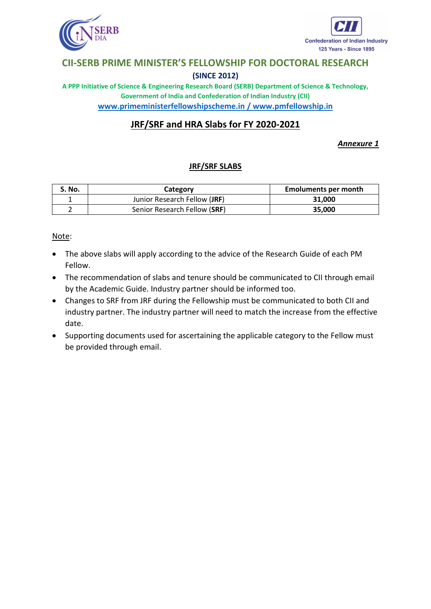



**A PPP Initiative of Science & Engineering Research Board (SERB) Department of Science & Technology, Government of India and Confederation of Indian Industry (CII) [www.primeministerfellowshipscheme.in](http://www.primeministerfellowshipscheme.in/) / [www.pmfellowship.in](http://www.pmfellowship.in/)**

# **JRF/SRF and HRA Slabs for FY 2020-2021**

### *Annexure 1*

### **JRF/SRF SLABS**

| S. No. | Category                     | <b>Emoluments per month</b> |
|--------|------------------------------|-----------------------------|
|        | Junior Research Fellow (JRF) | 31,000                      |
|        | Senior Research Fellow (SRF) | 35,000                      |

Note:

- The above slabs will apply according to the advice of the Research Guide of each PM Fellow.
- The recommendation of slabs and tenure should be communicated to CII through email by the Academic Guide. Industry partner should be informed too.
- Changes to SRF from JRF during the Fellowship must be communicated to both CII and industry partner. The industry partner will need to match the increase from the effective date.
- Supporting documents used for ascertaining the applicable category to the Fellow must be provided through email.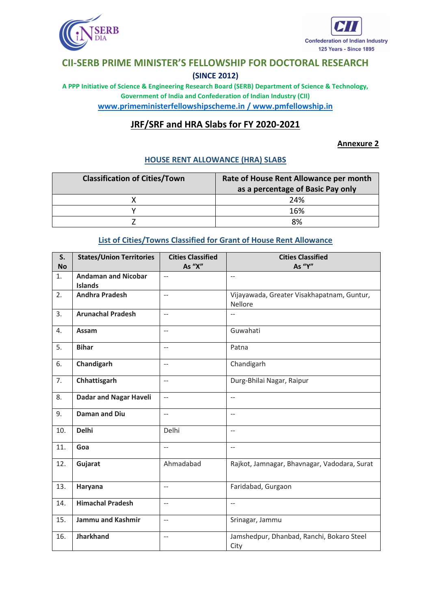



**A PPP Initiative of Science & Engineering Research Board (SERB) Department of Science & Technology, Government of India and Confederation of Indian Industry (CII) [www.primeministerfellowshipscheme.in](http://www.primeministerfellowshipscheme.in/) / [www.pmfellowship.in](http://www.pmfellowship.in/)**

## **JRF/SRF and HRA Slabs for FY 2020-2021**

#### **Annexure 2**

#### **HOUSE RENT ALLOWANCE (HRA) SLABS**

| <b>Classification of Cities/Town</b> | Rate of House Rent Allowance per month<br>as a percentage of Basic Pay only |
|--------------------------------------|-----------------------------------------------------------------------------|
|                                      | 24%                                                                         |
|                                      | 16%                                                                         |
|                                      | 8%                                                                          |

#### **List of Cities/Towns Classified for Grant of House Rent Allowance**

| S.<br><b>No</b> | <b>States/Union Territories</b>              | <b>Cities Classified</b><br>As "X" | <b>Cities Classified</b><br>As "Y"                    |
|-----------------|----------------------------------------------|------------------------------------|-------------------------------------------------------|
| 1.              | <b>Andaman and Nicobar</b><br><b>Islands</b> | $\overline{\phantom{a}}$           | $-$                                                   |
| 2.              | <b>Andhra Pradesh</b>                        | $-$                                | Vijayawada, Greater Visakhapatnam, Guntur,<br>Nellore |
| 3.              | <b>Arunachal Pradesh</b>                     | $\overline{\phantom{a}}$           | $-$                                                   |
| 4.              | Assam                                        | $\overline{a}$                     | Guwahati                                              |
| 5.              | <b>Bihar</b>                                 | $\overline{a}$                     | Patna                                                 |
| 6.              | Chandigarh                                   | $\overline{\phantom{a}}$           | Chandigarh                                            |
| 7.              | Chhattisgarh                                 | $-$                                | Durg-Bhilai Nagar, Raipur                             |
| 8.              | <b>Dadar and Nagar Haveli</b>                | $\mathbb{L}^{\mathbb{L}}$          | $\mathbb{L}^{\mathbb{L}}$                             |
| 9.              | <b>Daman and Diu</b>                         | $\overline{a}$                     | $-$                                                   |
| 10.             | <b>Delhi</b>                                 | Delhi                              | $\overline{a}$                                        |
| 11.             | Goa                                          | $\overline{a}$                     | $\overline{a}$                                        |
| 12.             | Gujarat                                      | Ahmadabad                          | Rajkot, Jamnagar, Bhavnagar, Vadodara, Surat          |
| 13.             | Haryana                                      | $\overline{a}$                     | Faridabad, Gurgaon                                    |
| 14.             | <b>Himachal Pradesh</b>                      | $\qquad \qquad -$                  | $-$                                                   |
| 15.             | <b>Jammu and Kashmir</b>                     | $\overline{\phantom{a}}$           | Srinagar, Jammu                                       |
| 16.             | <b>Jharkhand</b>                             | $\overline{\phantom{a}}$           | Jamshedpur, Dhanbad, Ranchi, Bokaro Steel<br>City     |